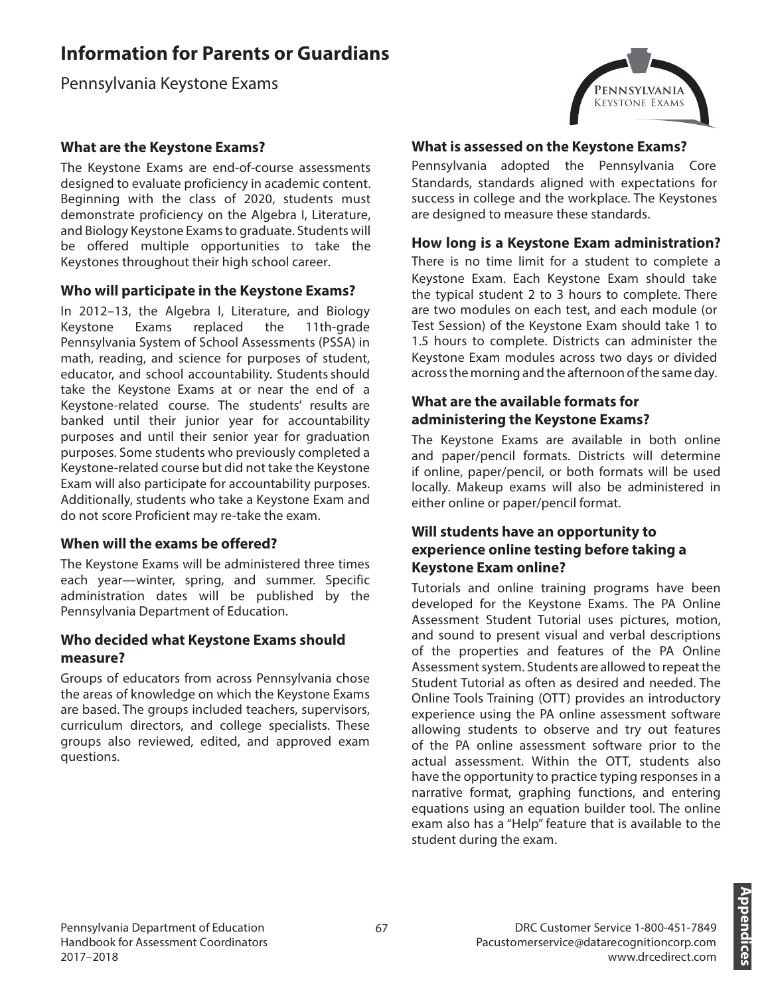# **Information for Parents or Guardians**

Pennsylvania Keystone Exams

# **What are the Keystone Exams?**

The Keystone Exams are end-of-course assessments designed to evaluate proficiency in academic content. Beginning with the class of 2020, students must demonstrate proficiency on the Algebra I, Literature, and Biology Keystone Exams to graduate. Students will be offered multiple opportunities to take the Keystones throughout their high school career.

## **Who will participate in the Keystone Exams?**

In 2012–13, the Algebra I, Literature, and Biology<br>Keystone Exams replaced the 11th-grade Keystone Exams replaced the 11th-grade Pennsylvania System of School Assessments (PSSA) in math, reading, and science for purposes of student, educator, and school accountability. Students should take the Keystone Exams at or near the end of a Keystone-related course. The students' results are banked until their junior year for accountability purposes and until their senior year for graduation purposes. Some students who previously completed a Keystone-related course but did not take the Keystone Exam will also participate for accountability purposes. Additionally, students who take a Keystone Exam and do not score Proficient may re-take the exam.

## **When will the exams be offered?**

The Keystone Exams will be administered three times each year—winter, spring, and summer. Specific administration dates will be published by the Pennsylvania Department of Education.

#### **Who decided what Keystone Exams should measure?**

Groups of educators from across Pennsylvania chose the areas of knowledge on which the Keystone Exams are based. The groups included teachers, supervisors, curriculum directors, and college specialists. These groups also reviewed, edited, and approved exam questions.



#### **What is assessed on the Keystone Exams?**

Pennsylvania adopted the Pennsylvania Core Standards, standards aligned with expectations for success in college and the workplace. The Keystones are designed to measure these standards.

#### **How long is a Keystone Exam administration?**

There is no time limit for a student to complete a Keystone Exam. Each Keystone Exam should take the typical student 2 to 3 hours to complete. There are two modules on each test, and each module (or Test Session) of the Keystone Exam should take 1 to 1.5 hours to complete. Districts can administer the Keystone Exam modules across two days or divided across the morning and the afternoon of the same day.

# **What are the available formats for administering the Keystone Exams?**

The Keystone Exams are available in both online and paper/pencil formats. Districts will determine if online, paper/pencil, or both formats will be used locally. Makeup exams will also be administered in either online or paper/pencil format.

## **Will students have an opportunity to experience online testing before taking a Keystone Exam online?**

Tutorials and online training programs have been developed for the Keystone Exams. The PA Online Assessment Student Tutorial uses pictures, motion, and sound to present visual and verbal descriptions of the properties and features of the PA Online Assessment system. Students are allowed to repeat the Student Tutorial as often as desired and needed. The Online Tools Training (OTT) provides an introductory experience using the PA online assessment software allowing students to observe and try out features of the PA online assessment software prior to the actual assessment. Within the OTT, students also have the opportunity to practice typing responses in a narrative format, graphing functions, and entering equations using an equation builder tool. The online exam also has a "Help" feature that is available to the student during the exam.